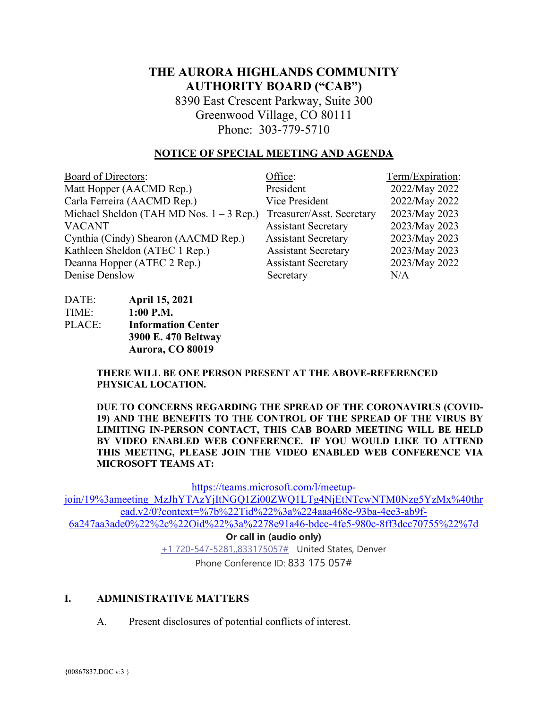# **THE AURORA HIGHLANDS COMMUNITY AUTHORITY BOARD ("CAB")**

8390 East Crescent Parkway, Suite 300 Greenwood Village, CO 80111 Phone: 303-779-5710

#### **NOTICE OF SPECIAL MEETING AND AGENDA**

| <b>Board of Directors:</b>                 | Office:                    | Term/Expiration: |
|--------------------------------------------|----------------------------|------------------|
| Matt Hopper (AACMD Rep.)                   | President                  | 2022/May 2022    |
| Carla Ferreira (AACMD Rep.)                | Vice President             | 2022/May 2022    |
| Michael Sheldon (TAH MD Nos. $1 - 3$ Rep.) | Treasurer/Asst. Secretary  | 2023/May 2023    |
| <b>VACANT</b>                              | <b>Assistant Secretary</b> | 2023/May 2023    |
| Cynthia (Cindy) Shearon (AACMD Rep.)       | <b>Assistant Secretary</b> | 2023/May 2023    |
| Kathleen Sheldon (ATEC 1 Rep.)             | <b>Assistant Secretary</b> | 2023/May 2023    |
| Deanna Hopper (ATEC 2 Rep.)                | <b>Assistant Secretary</b> | 2023/May 2022    |
| Denise Denslow                             | Secretary                  | N/A              |

| DATE:  | <b>April 15, 2021</b>     |
|--------|---------------------------|
| TIME:  | $1:00$ P.M.               |
| PLACE: | <b>Information Center</b> |
|        | 3900 E. 470 Beltway       |
|        | Aurora, CO 80019          |

**THERE WILL BE ONE PERSON PRESENT AT THE ABOVE-REFERENCED PHYSICAL LOCATION.**

**DUE TO CONCERNS REGARDING THE SPREAD OF THE CORONAVIRUS (COVID-19) AND THE BENEFITS TO THE CONTROL OF THE SPREAD OF THE VIRUS BY LIMITING IN-PERSON CONTACT, THIS CAB BOARD MEETING WILL BE HELD BY VIDEO ENABLED WEB CONFERENCE. IF YOU WOULD LIKE TO ATTEND THIS MEETING, PLEASE JOIN THE VIDEO ENABLED WEB CONFERENCE VIA MICROSOFT TEAMS AT:**

[https://teams.microsoft.com/l/meetup-](https://teams.microsoft.com/l/meetup-join/19%3ameeting_MzJhYTAzYjItNGQ1Zi00ZWQ1LTg4NjEtNTcwNTM0Nzg5YzMx%40thread.v2/0?context=%7b%22Tid%22%3a%224aaa468e-93ba-4ee3-ab9f-6a247aa3ade0%22%2c%22Oid%22%3a%2278e91a46-bdcc-4fe5-980c-8ff3dcc70755%22%7d)

[join/19%3ameeting\\_MzJhYTAzYjItNGQ1Zi00ZWQ1LTg4NjEtNTcwNTM0Nzg5YzMx%40thr](https://teams.microsoft.com/l/meetup-join/19%3ameeting_MzJhYTAzYjItNGQ1Zi00ZWQ1LTg4NjEtNTcwNTM0Nzg5YzMx%40thread.v2/0?context=%7b%22Tid%22%3a%224aaa468e-93ba-4ee3-ab9f-6a247aa3ade0%22%2c%22Oid%22%3a%2278e91a46-bdcc-4fe5-980c-8ff3dcc70755%22%7d) [ead.v2/0?context=%7b%22Tid%22%3a%224aaa468e-93ba-4ee3-ab9f-](https://teams.microsoft.com/l/meetup-join/19%3ameeting_MzJhYTAzYjItNGQ1Zi00ZWQ1LTg4NjEtNTcwNTM0Nzg5YzMx%40thread.v2/0?context=%7b%22Tid%22%3a%224aaa468e-93ba-4ee3-ab9f-6a247aa3ade0%22%2c%22Oid%22%3a%2278e91a46-bdcc-4fe5-980c-8ff3dcc70755%22%7d)[6a247aa3ade0%22%2c%22Oid%22%3a%2278e91a46-bdcc-4fe5-980c-8ff3dcc70755%22%7d](https://teams.microsoft.com/l/meetup-join/19%3ameeting_MzJhYTAzYjItNGQ1Zi00ZWQ1LTg4NjEtNTcwNTM0Nzg5YzMx%40thread.v2/0?context=%7b%22Tid%22%3a%224aaa468e-93ba-4ee3-ab9f-6a247aa3ade0%22%2c%22Oid%22%3a%2278e91a46-bdcc-4fe5-980c-8ff3dcc70755%22%7d)

> **Or call in (audio only)** [+1 720-547-5281,,833175057#](tel:+17205475281,,833175057#%20) United States, Denver Phone Conference ID: 833 175 057#

#### **I. ADMINISTRATIVE MATTERS**

A. Present disclosures of potential conflicts of interest.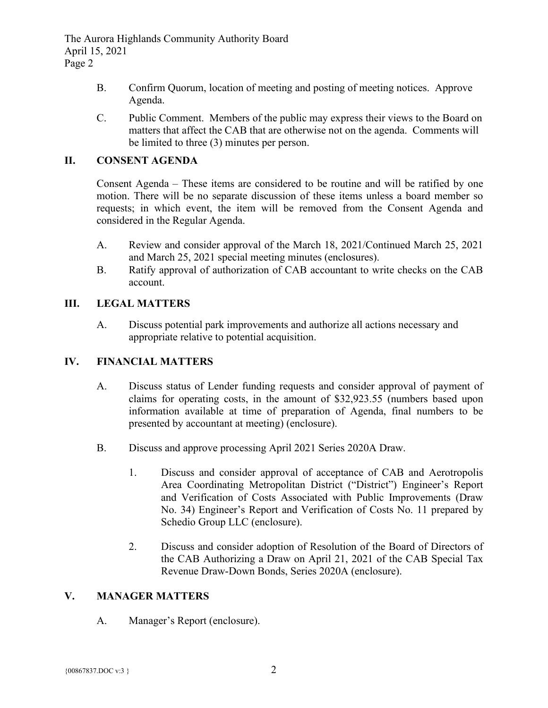The Aurora Highlands Community Authority Board April 15, 2021 Page 2

- B. Confirm Quorum, location of meeting and posting of meeting notices. Approve Agenda.
- C. Public Comment. Members of the public may express their views to the Board on matters that affect the CAB that are otherwise not on the agenda. Comments will be limited to three (3) minutes per person.

# **II. CONSENT AGENDA**

Consent Agenda – These items are considered to be routine and will be ratified by one motion. There will be no separate discussion of these items unless a board member so requests; in which event, the item will be removed from the Consent Agenda and considered in the Regular Agenda.

- A. Review and consider approval of the March 18, 2021/Continued March 25, 2021 and March 25, 2021 special meeting minutes (enclosures).
- B. Ratify approval of authorization of CAB accountant to write checks on the CAB account.

### **III. LEGAL MATTERS**

A. Discuss potential park improvements and authorize all actions necessary and appropriate relative to potential acquisition.

# **IV. FINANCIAL MATTERS**

- A. Discuss status of Lender funding requests and consider approval of payment of claims for operating costs, in the amount of \$32,923.55 (numbers based upon information available at time of preparation of Agenda, final numbers to be presented by accountant at meeting) (enclosure).
- B. Discuss and approve processing April 2021 Series 2020A Draw.
	- 1. Discuss and consider approval of acceptance of CAB and Aerotropolis Area Coordinating Metropolitan District ("District") Engineer's Report and Verification of Costs Associated with Public Improvements (Draw No. 34) Engineer's Report and Verification of Costs No. 11 prepared by Schedio Group LLC (enclosure).
	- 2. Discuss and consider adoption of Resolution of the Board of Directors of the CAB Authorizing a Draw on April 21, 2021 of the CAB Special Tax Revenue Draw-Down Bonds, Series 2020A (enclosure).

#### **V. MANAGER MATTERS**

A. Manager's Report (enclosure).